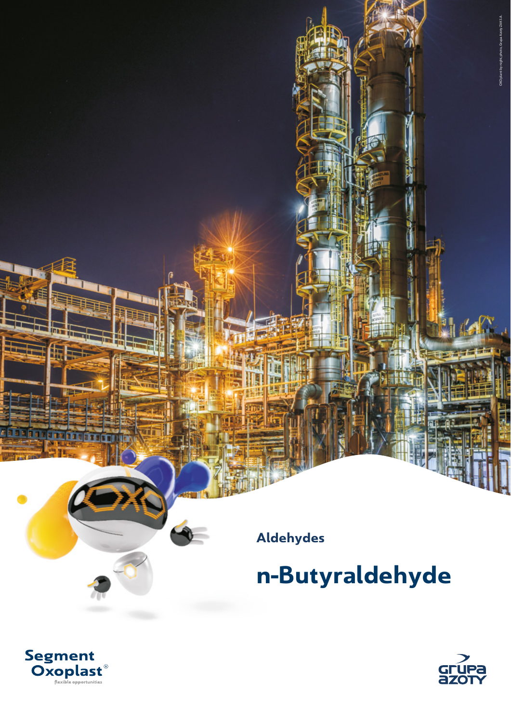**Aldehydes**

**n-Butyraldehyde**



OXO plant by night, photo, Grupa Azoty ZAK S.A.

OXO plant by night,

Segment<br>Oxoplast<sup>®</sup>

۱ñ.